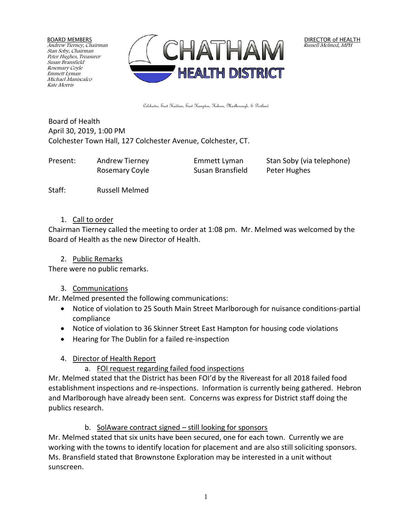BOARD MEMBERS Andrew Tierney, Chairman Stan Soby, Chairman Peter Hughes, Treasurer Susan Bransfield Rosemary Coyle Emmett Lyman Michael Maniscalco Kate Morris



DIRECTOR of HEALTH Russell Melmed, MPH

Colchester, East Haddam, East Hampton, Hebron, Marlborough, & Portland

Board of Health April 30, 2019, 1:00 PM Colchester Town Hall, 127 Colchester Avenue, Colchester, CT.

| Present: | Andrew Tierney | Emmett Lyman     | Stan Soby (via telephone) |
|----------|----------------|------------------|---------------------------|
|          | Rosemary Coyle | Susan Bransfield | Peter Hughes              |

Staff: Russell Melmed

#### 1. Call to order

Chairman Tierney called the meeting to order at 1:08 pm. Mr. Melmed was welcomed by the Board of Health as the new Director of Health.

#### 2. Public Remarks

There were no public remarks.

## 3. Communications

Mr. Melmed presented the following communications:

- Notice of violation to 25 South Main Street Marlborough for nuisance conditions-partial compliance
- Notice of violation to 36 Skinner Street East Hampton for housing code violations
- Hearing for The Dublin for a failed re-inspection

# 4. Director of Health Report

a. FOI request regarding failed food inspections

Mr. Melmed stated that the District has been FOI'd by the Rivereast for all 2018 failed food establishment inspections and re-inspections. Information is currently being gathered. Hebron and Marlborough have already been sent. Concerns was express for District staff doing the publics research.

# b. SolAware contract signed – still looking for sponsors

Mr. Melmed stated that six units have been secured, one for each town. Currently we are working with the towns to identify location for placement and are also still soliciting sponsors. Ms. Bransfield stated that Brownstone Exploration may be interested in a unit without sunscreen.